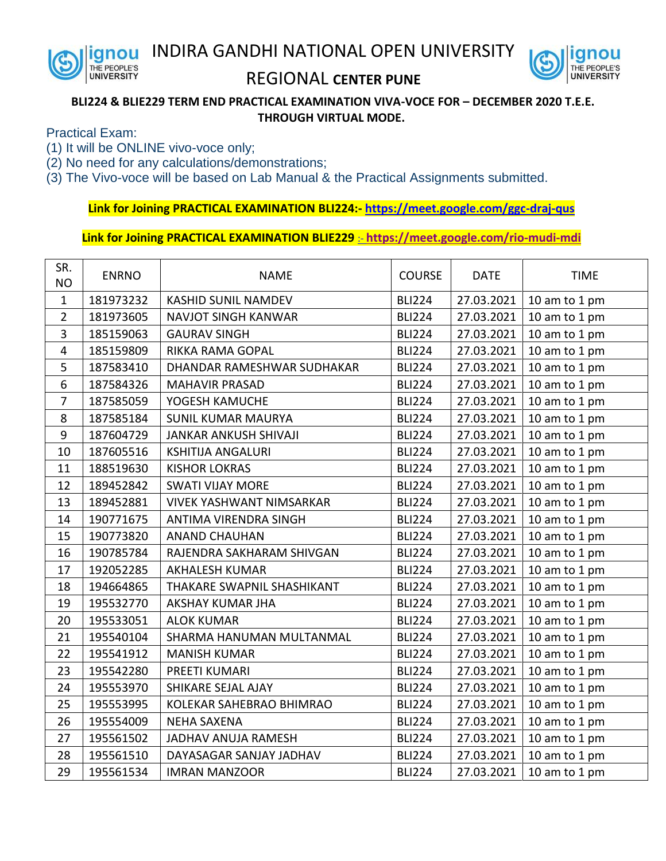



## REGIONAL **CENTER PUNE**

## **BLI224 & BLIE229 TERM END PRACTICAL EXAMINATION VIVA-VOCE FOR – DECEMBER 2020 T.E.E. THROUGH VIRTUAL MODE.**

Practical Exam:

- (1) It will be ONLINE vivo-voce only;
- (2) No need for any calculations/demonstrations;
- (3) The Vivo-voce will be based on Lab Manual & the Practical Assignments submitted.

**Link for Joining PRACTICAL EXAMINATION BLI224:- <https://meet.google.com/ggc-draj-qus>**

**Link for Joining PRACTICAL EXAMINATION BLIE229** :- **<https://meet.google.com/rio-mudi-mdi>**

| SR.<br><b>NO</b> | <b>ENRNO</b> | <b>NAME</b>                     | <b>COURSE</b> | <b>DATE</b> | <b>TIME</b>   |
|------------------|--------------|---------------------------------|---------------|-------------|---------------|
| $\mathbf{1}$     | 181973232    | <b>KASHID SUNIL NAMDEV</b>      | <b>BLI224</b> | 27.03.2021  | 10 am to 1 pm |
| $\overline{2}$   | 181973605    | <b>NAVJOT SINGH KANWAR</b>      | <b>BLI224</b> | 27.03.2021  | 10 am to 1 pm |
| $\overline{3}$   | 185159063    | <b>GAURAV SINGH</b>             | <b>BLI224</b> | 27.03.2021  | 10 am to 1 pm |
| $\overline{4}$   | 185159809    | <b>RIKKA RAMA GOPAL</b>         | <b>BLI224</b> | 27.03.2021  | 10 am to 1 pm |
| 5                | 187583410    | DHANDAR RAMESHWAR SUDHAKAR      | <b>BLI224</b> | 27.03.2021  | 10 am to 1 pm |
| 6                | 187584326    | <b>MAHAVIR PRASAD</b>           | <b>BLI224</b> | 27.03.2021  | 10 am to 1 pm |
| $\overline{7}$   | 187585059    | YOGESH KAMUCHE                  | <b>BLI224</b> | 27.03.2021  | 10 am to 1 pm |
| 8                | 187585184    | <b>SUNIL KUMAR MAURYA</b>       | <b>BLI224</b> | 27.03.2021  | 10 am to 1 pm |
| 9                | 187604729    | <b>JANKAR ANKUSH SHIVAJI</b>    | <b>BLI224</b> | 27.03.2021  | 10 am to 1 pm |
| 10               | 187605516    | <b>KSHITIJA ANGALURI</b>        | <b>BLI224</b> | 27.03.2021  | 10 am to 1 pm |
| 11               | 188519630    | <b>KISHOR LOKRAS</b>            | <b>BLI224</b> | 27.03.2021  | 10 am to 1 pm |
| 12               | 189452842    | <b>SWATI VIJAY MORE</b>         | <b>BLI224</b> | 27.03.2021  | 10 am to 1 pm |
| 13               | 189452881    | <b>VIVEK YASHWANT NIMSARKAR</b> | <b>BLI224</b> | 27.03.2021  | 10 am to 1 pm |
| 14               | 190771675    | ANTIMA VIRENDRA SINGH           | <b>BLI224</b> | 27.03.2021  | 10 am to 1 pm |
| 15               | 190773820    | <b>ANAND CHAUHAN</b>            | <b>BLI224</b> | 27.03.2021  | 10 am to 1 pm |
| 16               | 190785784    | RAJENDRA SAKHARAM SHIVGAN       | <b>BLI224</b> | 27.03.2021  | 10 am to 1 pm |
| 17               | 192052285    | <b>AKHALESH KUMAR</b>           | <b>BLI224</b> | 27.03.2021  | 10 am to 1 pm |
| 18               | 194664865    | THAKARE SWAPNIL SHASHIKANT      | <b>BLI224</b> | 27.03.2021  | 10 am to 1 pm |
| 19               | 195532770    | AKSHAY KUMAR JHA                | <b>BLI224</b> | 27.03.2021  | 10 am to 1 pm |
| 20               | 195533051    | <b>ALOK KUMAR</b>               | <b>BLI224</b> | 27.03.2021  | 10 am to 1 pm |
| 21               | 195540104    | SHARMA HANUMAN MULTANMAL        | <b>BLI224</b> | 27.03.2021  | 10 am to 1 pm |
| 22               | 195541912    | <b>MANISH KUMAR</b>             | <b>BLI224</b> | 27.03.2021  | 10 am to 1 pm |
| 23               | 195542280    | PREETI KUMARI                   | <b>BLI224</b> | 27.03.2021  | 10 am to 1 pm |
| 24               | 195553970    | SHIKARE SEJAL AJAY              | <b>BLI224</b> | 27.03.2021  | 10 am to 1 pm |
| 25               | 195553995    | KOLEKAR SAHEBRAO BHIMRAO        | <b>BLI224</b> | 27.03.2021  | 10 am to 1 pm |
| 26               | 195554009    | <b>NEHA SAXENA</b>              | <b>BLI224</b> | 27.03.2021  | 10 am to 1 pm |
| 27               | 195561502    | JADHAV ANUJA RAMESH             | <b>BLI224</b> | 27.03.2021  | 10 am to 1 pm |
| 28               | 195561510    | DAYASAGAR SANJAY JADHAV         | <b>BLI224</b> | 27.03.2021  | 10 am to 1 pm |
| 29               | 195561534    | <b>IMRAN MANZOOR</b>            | <b>BLI224</b> | 27.03.2021  | 10 am to 1 pm |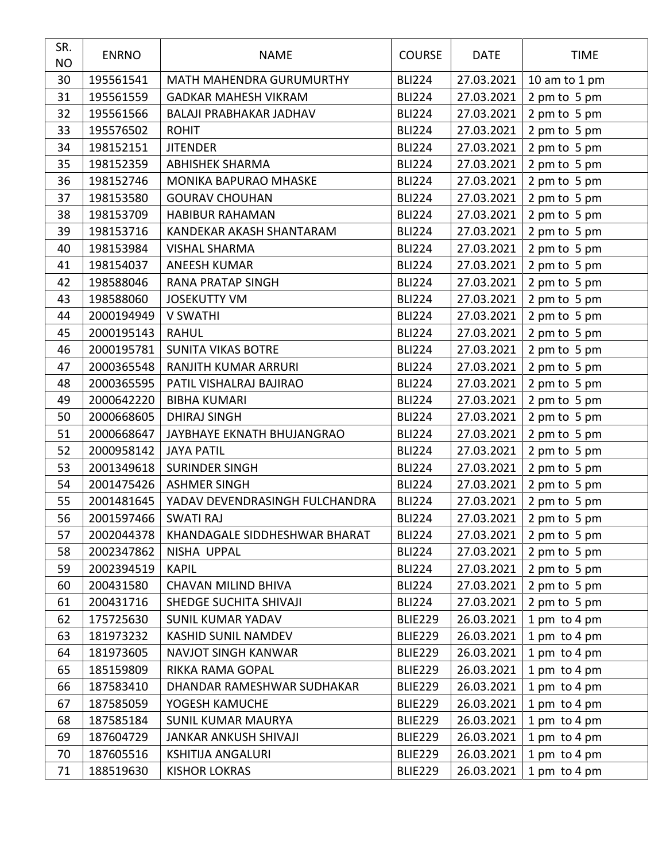| SR.<br><b>NO</b> | <b>ENRNO</b> | <b>NAME</b>                    | <b>COURSE</b>  | <b>DATE</b> | <b>TIME</b>   |
|------------------|--------------|--------------------------------|----------------|-------------|---------------|
| 30               | 195561541    | MATH MAHENDRA GURUMURTHY       | <b>BLI224</b>  | 27.03.2021  | 10 am to 1 pm |
| 31               | 195561559    | <b>GADKAR MAHESH VIKRAM</b>    | <b>BLI224</b>  | 27.03.2021  | 2 pm to 5 pm  |
| 32               | 195561566    | BALAJI PRABHAKAR JADHAV        | <b>BLI224</b>  | 27.03.2021  | 2 pm to 5 pm  |
| 33               | 195576502    | <b>ROHIT</b>                   | <b>BLI224</b>  | 27.03.2021  | 2 pm to 5 pm  |
| 34               | 198152151    | <b>JITENDER</b>                | <b>BLI224</b>  | 27.03.2021  | 2 pm to 5 pm  |
| 35               | 198152359    | <b>ABHISHEK SHARMA</b>         | <b>BLI224</b>  | 27.03.2021  | 2 pm to 5 pm  |
| 36               | 198152746    | MONIKA BAPURAO MHASKE          | <b>BLI224</b>  | 27.03.2021  | 2 pm to 5 pm  |
| 37               | 198153580    | <b>GOURAV CHOUHAN</b>          | <b>BLI224</b>  | 27.03.2021  | 2 pm to 5 pm  |
| 38               | 198153709    | <b>HABIBUR RAHAMAN</b>         | <b>BLI224</b>  | 27.03.2021  | 2 pm to 5 pm  |
| 39               | 198153716    | KANDEKAR AKASH SHANTARAM       | <b>BLI224</b>  | 27.03.2021  | 2 pm to 5 pm  |
| 40               | 198153984    | <b>VISHAL SHARMA</b>           | <b>BLI224</b>  | 27.03.2021  | 2 pm to 5 pm  |
| 41               | 198154037    | <b>ANEESH KUMAR</b>            | <b>BLI224</b>  | 27.03.2021  | 2 pm to 5 pm  |
| 42               | 198588046    | <b>RANA PRATAP SINGH</b>       | <b>BLI224</b>  | 27.03.2021  | 2 pm to 5 pm  |
| 43               | 198588060    | <b>JOSEKUTTY VM</b>            | <b>BLI224</b>  | 27.03.2021  | 2 pm to 5 pm  |
| 44               | 2000194949   | <b>V SWATHI</b>                | <b>BLI224</b>  | 27.03.2021  | 2 pm to 5 pm  |
| 45               | 2000195143   | <b>RAHUL</b>                   | <b>BLI224</b>  | 27.03.2021  | 2 pm to 5 pm  |
| 46               | 2000195781   | <b>SUNITA VIKAS BOTRE</b>      | <b>BLI224</b>  | 27.03.2021  | 2 pm to 5 pm  |
| 47               | 2000365548   | RANJITH KUMAR ARRURI           | <b>BLI224</b>  | 27.03.2021  | 2 pm to 5 pm  |
| 48               | 2000365595   | PATIL VISHALRAJ BAJIRAO        | <b>BLI224</b>  | 27.03.2021  | 2 pm to 5 pm  |
| 49               | 2000642220   | <b>BIBHA KUMARI</b>            | <b>BLI224</b>  | 27.03.2021  | 2 pm to 5 pm  |
| 50               | 2000668605   | <b>DHIRAJ SINGH</b>            | <b>BLI224</b>  | 27.03.2021  | 2 pm to 5 pm  |
| 51               | 2000668647   | JAYBHAYE EKNATH BHUJANGRAO     | <b>BLI224</b>  | 27.03.2021  | 2 pm to 5 pm  |
| 52               | 2000958142   | <b>JAYA PATIL</b>              | <b>BLI224</b>  | 27.03.2021  | 2 pm to 5 pm  |
| 53               | 2001349618   | <b>SURINDER SINGH</b>          | <b>BLI224</b>  | 27.03.2021  | 2 pm to 5 pm  |
| 54               | 2001475426   | <b>ASHMER SINGH</b>            | <b>BLI224</b>  | 27.03.2021  | 2 pm to 5 pm  |
| 55               | 2001481645   | YADAV DEVENDRASINGH FULCHANDRA | <b>BLI224</b>  | 27.03.2021  | 2 pm to 5 pm  |
| 56               | 2001597466   | <b>SWATI RAJ</b>               | <b>BLI224</b>  | 27.03.2021  | 2 pm to 5 pm  |
| 57               | 2002044378   | KHANDAGALE SIDDHESHWAR BHARAT  | <b>BLI224</b>  | 27.03.2021  | 2 pm to 5 pm  |
| 58               | 2002347862   | NISHA UPPAL                    | <b>BLI224</b>  | 27.03.2021  | 2 pm to 5 pm  |
| 59               | 2002394519   | <b>KAPIL</b>                   | <b>BLI224</b>  | 27.03.2021  | 2 pm to 5 pm  |
| 60               | 200431580    | <b>CHAVAN MILIND BHIVA</b>     | <b>BLI224</b>  | 27.03.2021  | 2 pm to 5 pm  |
| 61               | 200431716    | SHEDGE SUCHITA SHIVAJI         | <b>BLI224</b>  | 27.03.2021  | 2 pm to 5 pm  |
| 62               | 175725630    | <b>SUNIL KUMAR YADAV</b>       | <b>BLIE229</b> | 26.03.2021  | 1 pm to 4 pm  |
| 63               | 181973232    | KASHID SUNIL NAMDEV            | <b>BLIE229</b> | 26.03.2021  | 1 pm to 4 pm  |
| 64               | 181973605    | NAVJOT SINGH KANWAR            | BLIE229        | 26.03.2021  | 1 pm to 4 pm  |
| 65               | 185159809    | RIKKA RAMA GOPAL               | <b>BLIE229</b> | 26.03.2021  | 1 pm to 4 pm  |
| 66               | 187583410    | DHANDAR RAMESHWAR SUDHAKAR     | <b>BLIE229</b> | 26.03.2021  | 1 pm to 4 pm  |
| 67               | 187585059    | YOGESH KAMUCHE                 | BLIE229        | 26.03.2021  | 1 pm to 4 pm  |
| 68               | 187585184    | <b>SUNIL KUMAR MAURYA</b>      | <b>BLIE229</b> | 26.03.2021  | 1 pm to 4 pm  |
| 69               | 187604729    | JANKAR ANKUSH SHIVAJI          | <b>BLIE229</b> | 26.03.2021  | 1 pm to 4 pm  |
| 70               | 187605516    | <b>KSHITIJA ANGALURI</b>       | <b>BLIE229</b> | 26.03.2021  | 1 pm to 4 pm  |
| 71               | 188519630    | <b>KISHOR LOKRAS</b>           | <b>BLIE229</b> | 26.03.2021  | 1 pm to 4 pm  |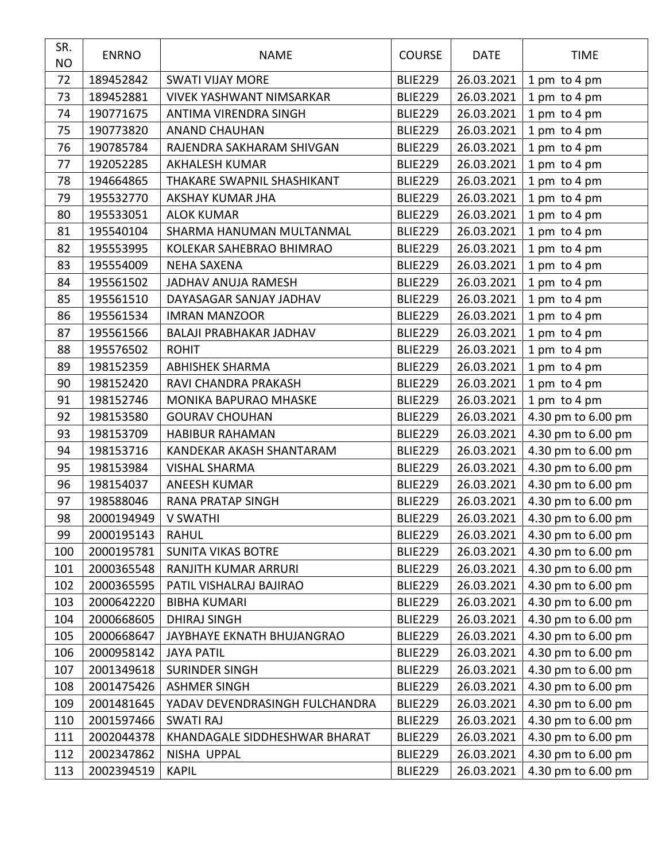| SR.<br><b>NO</b> | <b>ENRNO</b> | <b>NAME</b>                     | <b>COURSE</b>  | <b>DATE</b> | <b>TIME</b>        |
|------------------|--------------|---------------------------------|----------------|-------------|--------------------|
| 72               | 189452842    | <b>SWATI VIJAY MORE</b>         | <b>BLIE229</b> | 26.03.2021  | 1 pm to 4 pm       |
| 73               | 189452881    | <b>VIVEK YASHWANT NIMSARKAR</b> | <b>BLIE229</b> | 26.03.2021  | 1 pm to 4 pm       |
| 74               | 190771675    | ANTIMA VIRENDRA SINGH           | <b>BLIE229</b> | 26.03.2021  | 1 pm to 4 pm       |
| 75               | 190773820    | <b>ANAND CHAUHAN</b>            | <b>BLIE229</b> | 26.03.2021  | 1 pm to 4 pm       |
| 76               | 190785784    | RAJENDRA SAKHARAM SHIVGAN       | <b>BLIE229</b> | 26.03.2021  | 1 pm to 4 pm       |
| 77               | 192052285    | <b>AKHALESH KUMAR</b>           | <b>BLIE229</b> | 26.03.2021  | 1 pm to 4 pm       |
| 78               | 194664865    | THAKARE SWAPNIL SHASHIKANT      | <b>BLIE229</b> | 26.03.2021  | 1 pm to 4 pm       |
| 79               | 195532770    | AKSHAY KUMAR JHA                | <b>BLIE229</b> | 26.03.2021  | 1 pm to 4 pm       |
| 80               | 195533051    | <b>ALOK KUMAR</b>               | <b>BLIE229</b> | 26.03.2021  | 1 pm to 4 pm       |
| 81               | 195540104    | SHARMA HANUMAN MULTANMAL        | <b>BLIE229</b> | 26.03.2021  | 1 pm to 4 pm       |
| 82               | 195553995    | KOLEKAR SAHEBRAO BHIMRAO        | <b>BLIE229</b> | 26.03.2021  | 1 pm to 4 pm       |
| 83               | 195554009    | <b>NEHA SAXENA</b>              | <b>BLIE229</b> | 26.03.2021  | 1 pm to 4 pm       |
| 84               | 195561502    | JADHAV ANUJA RAMESH             | <b>BLIE229</b> | 26.03.2021  | 1 pm to 4 pm       |
| 85               | 195561510    | DAYASAGAR SANJAY JADHAV         | <b>BLIE229</b> | 26.03.2021  | 1 pm to 4 pm       |
| 86               | 195561534    | <b>IMRAN MANZOOR</b>            | <b>BLIE229</b> | 26.03.2021  | 1 pm to 4 pm       |
| 87               | 195561566    | <b>BALAJI PRABHAKAR JADHAV</b>  | <b>BLIE229</b> | 26.03.2021  | 1 pm to 4 pm       |
| 88               | 195576502    | <b>ROHIT</b>                    | <b>BLIE229</b> | 26.03.2021  | 1 pm to 4 pm       |
| 89               | 198152359    | <b>ABHISHEK SHARMA</b>          | <b>BLIE229</b> | 26.03.2021  | 1 pm to 4 pm       |
| 90               | 198152420    | RAVI CHANDRA PRAKASH            | <b>BLIE229</b> | 26.03.2021  | 1 pm to 4 pm       |
| 91               | 198152746    | MONIKA BAPURAO MHASKE           | <b>BLIE229</b> | 26.03.2021  | 1 pm to 4 pm       |
| 92               | 198153580    | <b>GOURAV CHOUHAN</b>           | <b>BLIE229</b> | 26.03.2021  | 4.30 pm to 6.00 pm |
| 93               | 198153709    | <b>HABIBUR RAHAMAN</b>          | <b>BLIE229</b> | 26.03.2021  | 4.30 pm to 6.00 pm |
| 94               | 198153716    | KANDEKAR AKASH SHANTARAM        | <b>BLIE229</b> | 26.03.2021  | 4.30 pm to 6.00 pm |
| 95               | 198153984    | <b>VISHAL SHARMA</b>            | <b>BLIE229</b> | 26.03.2021  | 4.30 pm to 6.00 pm |
| 96               | 198154037    | <b>ANEESH KUMAR</b>             | <b>BLIE229</b> | 26.03.2021  | 4.30 pm to 6.00 pm |
| 97               | 198588046    | <b>RANA PRATAP SINGH</b>        | <b>BLIE229</b> | 26.03.2021  | 4.30 pm to 6.00 pm |
| 98               | 2000194949   | <b>V SWATHI</b>                 | <b>BLIE229</b> | 26.03.2021  | 4.30 pm to 6.00 pm |
| 99               | 2000195143   | <b>RAHUL</b>                    | <b>BLIE229</b> | 26.03.2021  | 4.30 pm to 6.00 pm |
| 100              | 2000195781   | <b>SUNITA VIKAS BOTRE</b>       | <b>BLIE229</b> | 26.03.2021  | 4.30 pm to 6.00 pm |
| 101              | 2000365548   | RANJITH KUMAR ARRURI            | <b>BLIE229</b> | 26.03.2021  | 4.30 pm to 6.00 pm |
| 102              | 2000365595   | PATIL VISHALRAJ BAJIRAO         | <b>BLIE229</b> | 26.03.2021  | 4.30 pm to 6.00 pm |
| 103              | 2000642220   | <b>BIBHA KUMARI</b>             | <b>BLIE229</b> | 26.03.2021  | 4.30 pm to 6.00 pm |
| 104              | 2000668605   | <b>DHIRAJ SINGH</b>             | BLIE229        | 26.03.2021  | 4.30 pm to 6.00 pm |
| 105              | 2000668647   | JAYBHAYE EKNATH BHUJANGRAO      | <b>BLIE229</b> | 26.03.2021  | 4.30 pm to 6.00 pm |
| 106              | 2000958142   | <b>JAYA PATIL</b>               | <b>BLIE229</b> | 26.03.2021  | 4.30 pm to 6.00 pm |
| 107              | 2001349618   | <b>SURINDER SINGH</b>           | <b>BLIE229</b> | 26.03.2021  | 4.30 pm to 6.00 pm |
| 108              | 2001475426   | <b>ASHMER SINGH</b>             | <b>BLIE229</b> | 26.03.2021  | 4.30 pm to 6.00 pm |
| 109              | 2001481645   | YADAV DEVENDRASINGH FULCHANDRA  | <b>BLIE229</b> | 26.03.2021  | 4.30 pm to 6.00 pm |
| 110              | 2001597466   | <b>SWATI RAJ</b>                | <b>BLIE229</b> | 26.03.2021  | 4.30 pm to 6.00 pm |
| 111              | 2002044378   | KHANDAGALE SIDDHESHWAR BHARAT   | <b>BLIE229</b> | 26.03.2021  | 4.30 pm to 6.00 pm |
| 112              | 2002347862   | NISHA UPPAL                     | <b>BLIE229</b> | 26.03.2021  | 4.30 pm to 6.00 pm |
| 113              | 2002394519   | <b>KAPIL</b>                    | <b>BLIE229</b> | 26.03.2021  | 4.30 pm to 6.00 pm |